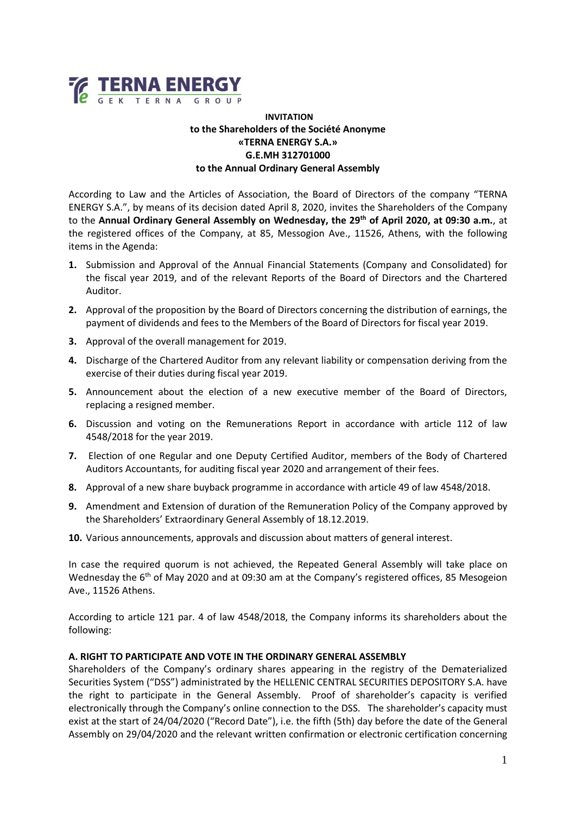

# **INVITATION to the Shareholders of the Société Anonyme «TERNA ENERGY S.A.» G.E.MH 312701000 to the Annual Ordinary General Assembly**

According to Law and the Articles of Association, the Board of Directors of the company "TERNA ENERGY S.A.", by means of its decision dated April 8, 2020, invites the Shareholders of the Company to the **Annual Ordinary General Assembly on Wednesday, the 29th of April 2020, at 09:30 a.m.**, at the registered offices of the Company, at 85, Messogion Ave., 11526, Athens, with the following items in the Agenda:

- **1.** Submission and Approval of the Annual Financial Statements (Company and Consolidated) for the fiscal year 2019, and of the relevant Reports of the Board of Directors and the Chartered Auditor.
- **2.** Approval of the proposition by the Board of Directors concerning the distribution of earnings, the payment of dividends and fees to the Members of the Board of Directors for fiscal year 2019.
- **3.** Approval of the overall management for 2019.
- **4.** Discharge of the Chartered Auditor from any relevant liability or compensation deriving from the exercise of their duties during fiscal year 2019.
- **5.** Announcement about the election of a new executive member of the Board of Directors, replacing a resigned member.
- **6.** Discussion and voting on the Remunerations Report in accordance with article 112 of law 4548/2018 for the year 2019.
- **7.** Election of one Regular and one Deputy Certified Auditor, members of the Body of Chartered Auditors Accountants, for auditing fiscal year 2020 and arrangement of their fees.
- **8.** Approval of a new share buyback programme in accordance with article 49 of law 4548/2018.
- **9.** Amendment and Extension of duration of the Remuneration Policy of the Company approved by the Shareholders' Extraordinary General Assembly of 18.12.2019.
- **10.** Various announcements, approvals and discussion about matters of general interest.

In case the required quorum is not achieved, the Repeated General Assembly will take place on Wednesday the 6<sup>th</sup> of May 2020 and at 09:30 am at the Company's registered offices, 85 Mesogeion Ave., 11526 Athens.

According to article 121 par. 4 of law 4548/2018, the Company informs its shareholders about the following:

#### **A. RIGHT TO PARTICIPATE AND VOTE IN THE ORDINARY GENERAL ASSEMBLY**

Shareholders of the Company's ordinary shares appearing in the registry of the Dematerialized Securities System ("DSS") administrated by the HELLENIC CENTRAL SECURITIES DEPOSITORY S.A. have the right to participate in the General Assembly. Proof of shareholder's capacity is verified electronically through the Company's online connection to the DSS. The shareholder's capacity must exist at the start of 24/04/2020 ("Record Date"), i.e. the fifth (5th) day before the date of the General Assembly on 29/04/2020 and the relevant written confirmation or electronic certification concerning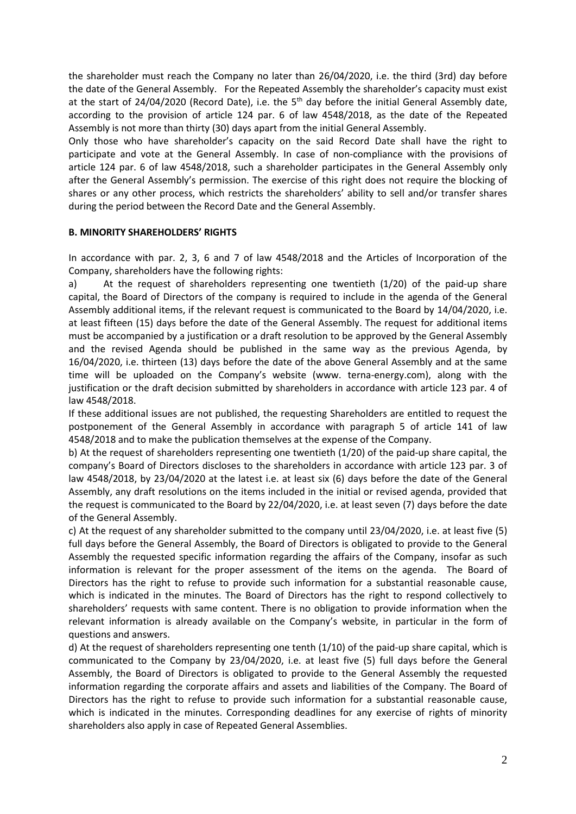the shareholder must reach the Company no later than 26/04/2020, i.e. the third (3rd) day before the date of the General Assembly. For the Repeated Assembly the shareholder's capacity must exist at the start of 24/04/2020 (Record Date), i.e. the  $5<sup>th</sup>$  day before the initial General Assembly date, according to the provision of article 124 par. 6 of law 4548/2018, as the date of the Repeated Assembly is not more than thirty (30) days apart from the initial General Assembly.

Only those who have shareholder's capacity on the said Record Date shall have the right to participate and vote at the General Assembly. In case of non-compliance with the provisions of article 124 par. 6 of law 4548/2018, such a shareholder participates in the General Assembly only after the General Assembly's permission. The exercise of this right does not require the blocking of shares or any other process, which restricts the shareholders' ability to sell and/or transfer shares during the period between the Record Date and the General Assembly.

### **B. MINORITY SHAREHOLDERS' RIGHTS**

In accordance with par. 2, 3, 6 and 7 of law 4548/2018 and the Articles of Incorporation of the Company, shareholders have the following rights:

a) At the request of shareholders representing one twentieth (1/20) of the paid‐up share capital, the Board of Directors of the company is required to include in the agenda of the General Assembly additional items, if the relevant request is communicated to the Board by 14/04/2020, i.e. at least fifteen (15) days before the date of the General Assembly. The request for additional items must be accompanied by a justification or a draft resolution to be approved by the General Assembly and the revised Agenda should be published in the same way as the previous Agenda, by 16/04/2020, i.e. thirteen (13) days before the date of the above General Assembly and at the same time will be uploaded on the Company's website (www. terna-energy.com), along with the justification or the draft decision submitted by shareholders in accordance with article 123 par. 4 of law 4548/2018.

If these additional issues are not published, the requesting Shareholders are entitled to request the postponement of the General Assembly in accordance with paragraph 5 of article 141 of law 4548/2018 and to make the publication themselves at the expense of the Company.

b) At the request of shareholders representing one twentieth (1/20) of the paid‐up share capital, the company's Board of Directors discloses to the shareholders in accordance with article 123 par. 3 of law 4548/2018, by 23/04/2020 at the latest i.e. at least six (6) days before the date of the General Assembly, any draft resolutions on the items included in the initial or revised agenda, provided that the request is communicated to the Board by 22/04/2020, i.e. at least seven (7) days before the date of the General Assembly.

c) At the request of any shareholder submitted to the company until 23/04/2020, i.e. at least five (5) full days before the General Assembly, the Board of Directors is obligated to provide to the General Assembly the requested specific information regarding the affairs of the Company, insofar as such information is relevant for the proper assessment of the items on the agenda. The Board of Directors has the right to refuse to provide such information for a substantial reasonable cause, which is indicated in the minutes. The Board of Directors has the right to respond collectively to shareholders' requests with same content. There is no obligation to provide information when the relevant information is already available on the Company's website, in particular in the form of questions and answers.

d) At the request of shareholders representing one tenth (1/10) of the paid‐up share capital, which is communicated to the Company by 23/04/2020, i.e. at least five (5) full days before the General Assembly, the Board of Directors is obligated to provide to the General Assembly the requested information regarding the corporate affairs and assets and liabilities of the Company. The Board of Directors has the right to refuse to provide such information for a substantial reasonable cause, which is indicated in the minutes. Corresponding deadlines for any exercise of rights of minority shareholders also apply in case of Repeated General Assemblies.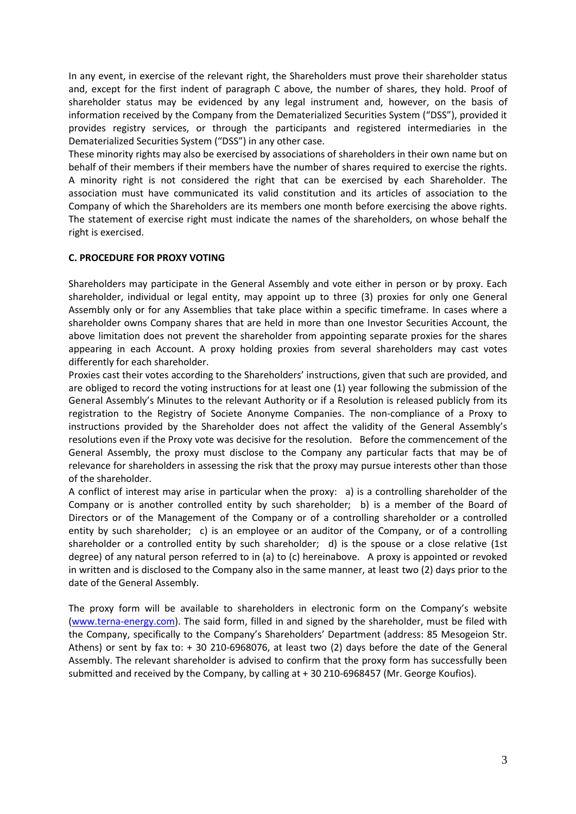In any event, in exercise of the relevant right, the Shareholders must prove their shareholder status and, except for the first indent of paragraph C above, the number of shares, they hold. Proof of shareholder status may be evidenced by any legal instrument and, however, on the basis of information received by the Company from the Dematerialized Securities System ("DSS"), provided it provides registry services, or through the participants and registered intermediaries in the Dematerialized Securities System ("DSS") in any other case.

These minority rights may also be exercised by associations of shareholders in their own name but on behalf of their members if their members have the number of shares required to exercise the rights. A minority right is not considered the right that can be exercised by each Shareholder. The association must have communicated its valid constitution and its articles of association to the Company of which the Shareholders are its members one month before exercising the above rights. The statement of exercise right must indicate the names of the shareholders, on whose behalf the right is exercised.

### **C. PROCEDURE FOR PROXY VOTING**

Shareholders may participate in the General Assembly and vote either in person or by proxy. Each shareholder, individual or legal entity, may appoint up to three (3) proxies for only one General Assembly only or for any Assemblies that take place within a specific timeframe. In cases where a shareholder owns Company shares that are held in more than one Investor Securities Account, the above limitation does not prevent the shareholder from appointing separate proxies for the shares appearing in each Account. A proxy holding proxies from several shareholders may cast votes differently for each shareholder.

Proxies cast their votes according to the Shareholders' instructions, given that such are provided, and are obliged to record the voting instructions for at least one (1) year following the submission of the General Assembly's Minutes to the relevant Authority or if a Resolution is released publicly from its registration to the Registry of Societe Anonyme Companies. The non‐compliance of a Proxy to instructions provided by the Shareholder does not affect the validity of the General Assembly's resolutions even if the Proxy vote was decisive for the resolution. Before the commencement of the General Assembly, the proxy must disclose to the Company any particular facts that may be of relevance for shareholders in assessing the risk that the proxy may pursue interests other than those of the shareholder.

A conflict of interest may arise in particular when the proxy: a) is a controlling shareholder of the Company or is another controlled entity by such shareholder; b) is a member of the Board of Directors or of the Management of the Company or of a controlling shareholder or a controlled entity by such shareholder; c) is an employee or an auditor of the Company, or of a controlling shareholder or a controlled entity by such shareholder; d) is the spouse or a close relative (1st degree) of any natural person referred to in (a) to (c) hereinabove. A proxy is appointed or revoked in written and is disclosed to the Company also in the same manner, at least two (2) days prior to the date of the General Assembly.

The proxy form will be available to shareholders in electronic form on the Company's website [\(www.terna-energy.com\)](http://www.terna-energy.com/). The said form, filled in and signed by the shareholder, must be filed with the Company, specifically to the Company's Shareholders' Department (address: 85 Mesogeion Str. Athens) or sent by fax to: + 30 210‐6968076, at least two (2) days before the date of the General Assembly. The relevant shareholder is advised to confirm that the proxy form has successfully been submitted and received by the Company, by calling at + 30 210-6968457 (Mr. George Koufios).